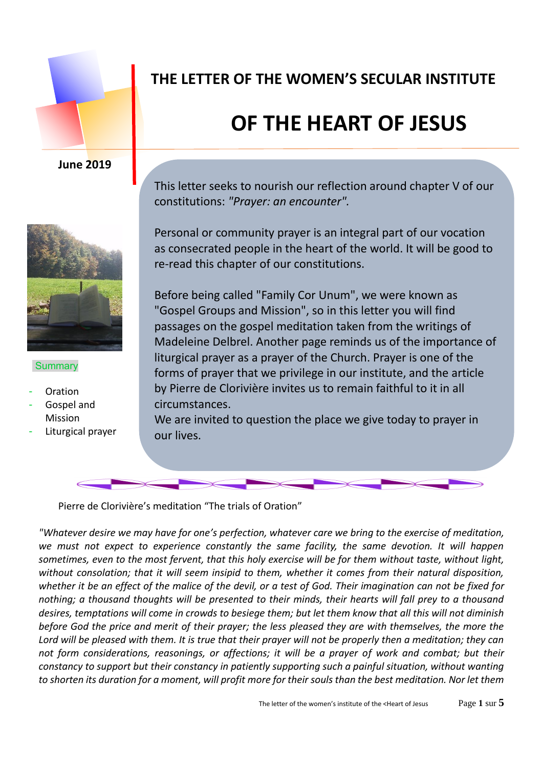

#### **June 2019**



#### **Summary**

- **Oration**
- Gospel and Mission
- Liturgical prayer

## **THE LETTER OF THE WOMEN'S SECULAR INSTITUTE**

# **OF THE HEART OF JESUS**

This letter seeks to nourish our reflection around chapter V of our constitutions: *"Prayer: an encounter".*

Personal or community prayer is an integral part of our vocation as consecrated people in the heart of the world. It will be good to re-read this chapter of our constitutions.

Before being called "Family Cor Unum", we were known as "Gospel Groups and Mission", so in this letter you will find passages on the gospel meditation taken from the writings of Madeleine Delbrel. Another page reminds us of the importance of liturgical prayer as a prayer of the Church. Prayer is one of the forms of prayer that we privilege in our institute, and the article by Pierre de Clorivière invites us to remain faithful to it in all circumstances.

We are invited to question the place we give today to prayer in our lives.

Pierre de Clorivière's meditation "The trials of Oration"

*"Whatever desire we may have for one's perfection, whatever care we bring to the exercise of meditation, we must not expect to experience constantly the same facility, the same devotion. It will happen sometimes, even to the most fervent, that this holy exercise will be for them without taste, without light, without consolation; that it will seem insipid to them, whether it comes from their natural disposition, whether it be an effect of the malice of the devil, or a test of God. Their imagination can not be fixed for nothing; a thousand thoughts will be presented to their minds, their hearts will fall prey to a thousand desires, temptations will come in crowds to besiege them; but let them know that all this will not diminish before God the price and merit of their prayer; the less pleased they are with themselves, the more the Lord will be pleased with them. It is true that their prayer will not be properly then a meditation; they can not form considerations, reasonings, or affections; it will be a prayer of work and combat; but their constancy to support but their constancy in patiently supporting such a painful situation, without wanting to shorten its duration for a moment, will profit more for their souls than the best meditation. Nor let them*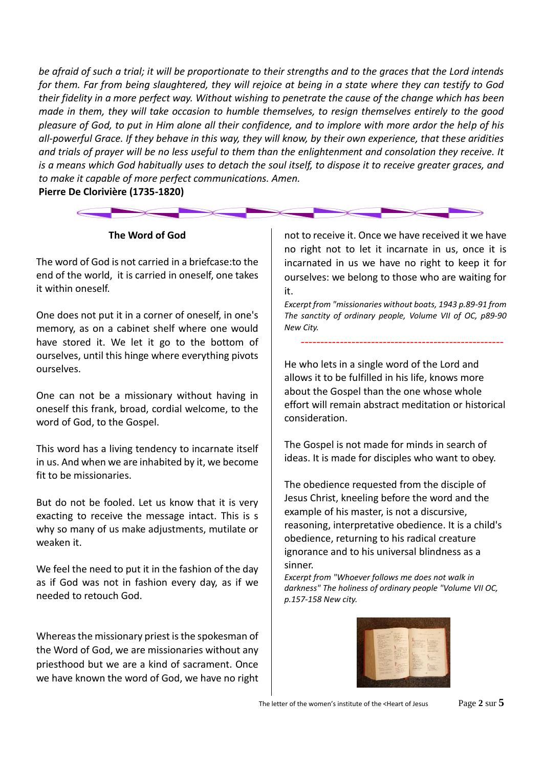*be afraid of such a trial; it will be proportionate to their strengths and to the graces that the Lord intends for them. Far from being slaughtered, they will rejoice at being in a state where they can testify to God their fidelity in a more perfect way. Without wishing to penetrate the cause of the change which has been made in them, they will take occasion to humble themselves, to resign themselves entirely to the good pleasure of God, to put in Him alone all their confidence, and to implore with more ardor the help of his all-powerful Grace. If they behave in this way, they will know, by their own experience, that these aridities and trials of prayer will be no less useful to them than the enlightenment and consolation they receive. It is a means which God habitually uses to detach the soul itself, to dispose it to receive greater graces, and to make it capable of more perfect communications. Amen.*

**Pierre De Clorivière (1735-1820)**

#### **The Word of God**

The word of God is not carried in a briefcase:to the end of the world, it is carried in oneself, one takes it within oneself.

One does not put it in a corner of oneself, in one's memory, as on a cabinet shelf where one would have stored it. We let it go to the bottom of ourselves, until this hinge where everything pivots ourselves.

One can not be a missionary without having in oneself this frank, broad, cordial welcome, to the word of God, to the Gospel.

This word has a living tendency to incarnate itself in us. And when we are inhabited by it, we become fit to be missionaries.

But do not be fooled. Let us know that it is very exacting to receive the message intact. This is s why so many of us make adjustments, mutilate or weaken it.

We feel the need to put it in the fashion of the day as if God was not in fashion every day, as if we needed to retouch God.

Whereas the missionary priest is the spokesman of the Word of God, we are missionaries without any priesthood but we are a kind of sacrament. Once we have known the word of God, we have no right

not to receive it. Once we have received it we have no right not to let it incarnate in us, once it is incarnated in us we have no right to keep it for ourselves: we belong to those who are waiting for it.

*Excerpt from "missionaries without boats, 1943 p.89-91 from The sanctity of ordinary people, Volume VII of OC, p89-90 New City.*

----------------------------------------------------

He who lets in a single word of the Lord and allows it to be fulfilled in his life, knows more about the Gospel than the one whose whole effort will remain abstract meditation or historical consideration.

The Gospel is not made for minds in search of ideas. It is made for disciples who want to obey.

The obedience requested from the disciple of Jesus Christ, kneeling before the word and the example of his master, is not a discursive, reasoning, interpretative obedience. It is a child's obedience, returning to his radical creature ignorance and to his universal blindness as a sinner.

*Excerpt from "Whoever follows me does not walk in darkness" The holiness of ordinary people "Volume VII OC, p.157-158 New city.*

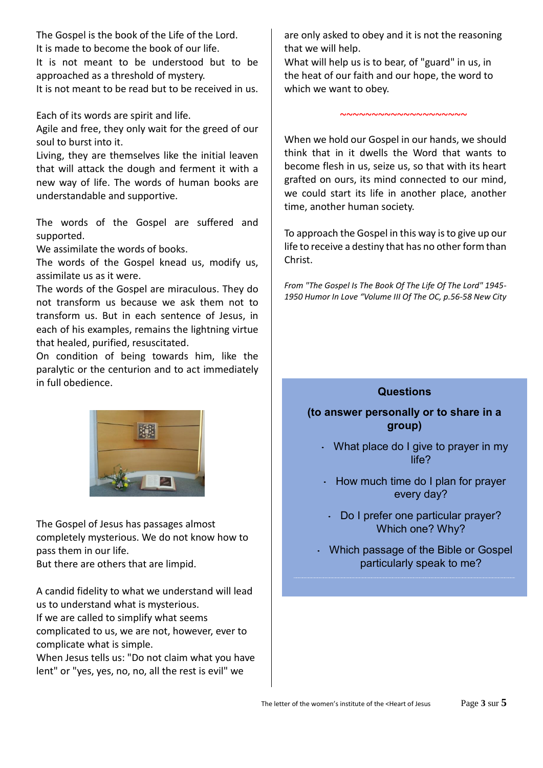The Gospel is the book of the Life of the Lord. It is made to become the book of our life. It is not meant to be understood but to be approached as a threshold of mystery. It is not meant to be read but to be received in us.

Each of its words are spirit and life.

Agile and free, they only wait for the greed of our soul to burst into it.

Living, they are themselves like the initial leaven that will attack the dough and ferment it with a new way of life. The words of human books are understandable and supportive.

The words of the Gospel are suffered and supported.

We assimilate the words of books.

The words of the Gospel knead us, modify us, assimilate us as it were.

The words of the Gospel are miraculous. They do not transform us because we ask them not to transform us. But in each sentence of Jesus, in each of his examples, remains the lightning virtue that healed, purified, resuscitated.

On condition of being towards him, like the paralytic or the centurion and to act immediately in full obedience.



The Gospel of Jesus has passages almost completely mysterious. We do not know how to pass them in our life. But there are others that are limpid.

A candid fidelity to what we understand will lead us to understand what is mysterious. If we are called to simplify what seems complicated to us, we are not, however, ever to complicate what is simple.

When Jesus tells us: "Do not claim what you have lent" or "yes, yes, no, no, all the rest is evil" we

are only asked to obey and it is not the reasoning that we will help.

What will help us is to bear, of "guard" in us, in the heat of our faith and our hope, the word to which we want to obey.

When we hold our Gospel in our hands, we should think that in it dwells the Word that wants to become flesh in us, seize us, so that with its heart grafted on ours, its mind connected to our mind, we could start its life in another place, another time, another human society.

~~~~~~~~~~~~~~~~~~~~

To approach the Gospel in this way is to give up our life to receive a destiny that has no other form than Christ.

*From "The Gospel Is The Book Of The Life Of The Lord" 1945- 1950 Humor In Love "Volume III Of The OC, p.56-58 New City*

#### **Questions**

#### **(to answer personally or to share in a group)**

- What place do I give to prayer in my life?
- $\cdot$  How much time do I plan for prayer every day?
- Do I prefer one particular prayer? Which one? Why?
- Which passage of the Bible or Gospel particularly speak to me?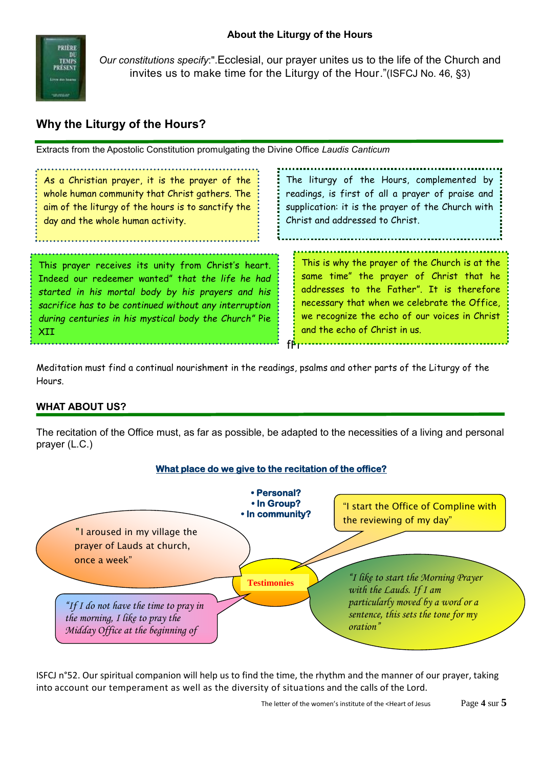

*Our constitutions specify*:".Ecclesial, our prayer unites us to the life of the Church and invites us to make time for the Liturgy of the Hour."(ISFCJ No. 46, §3)

### **Why the Liturgy of the Hours?**

Extracts from the Apostolic Constitution promulgating the Divine Office *Laudis Canticum*

| As a Christian prayer, it is the prayer of the<br>whole human community that Christ gathers. The<br>aim of the liturgy of the hours is to sanctify the<br>day and the whole human activity.                                                                                            | The liturgy of the Hours, complemented by<br>readings, is first of all a prayer of praise and<br>supplication: it is the prayer of the Church with<br>Christ and addressed to Christ.                                                                                    |
|----------------------------------------------------------------------------------------------------------------------------------------------------------------------------------------------------------------------------------------------------------------------------------------|--------------------------------------------------------------------------------------------------------------------------------------------------------------------------------------------------------------------------------------------------------------------------|
| This prayer receives its unity from Christ's heart.<br>Indeed our redeemer wanted" that the life he had<br>started in his mortal body by his prayers and his<br>sacrifice has to be continued without any interruption<br>during centuries in his mystical body the Church" Pie<br>XII | This is why the prayer of the Church is at the<br>same time" the prayer of Christ that he<br>addresses to the Father". It is therefore<br>necessary that when we celebrate the Office,<br>we recognize the echo of our voices in Christ<br>and the echo of Christ in us. |

Meditation must find a continual nourishment in the readings, psalms and other parts of the Liturgy of the Hours.

#### **WHAT ABOUT US?**

The recitation of the Office must, as far as possible, be adapted to the necessities of a living and personal prayer (L.C.)



**What place do we give to the recitation of the office?** 

ISFCJ n°52. Our spiritual companion will help us to find the time, the rhythm and the manner of our prayer, taking into account our temperament as well as the diversity of situations and the calls of the Lord.